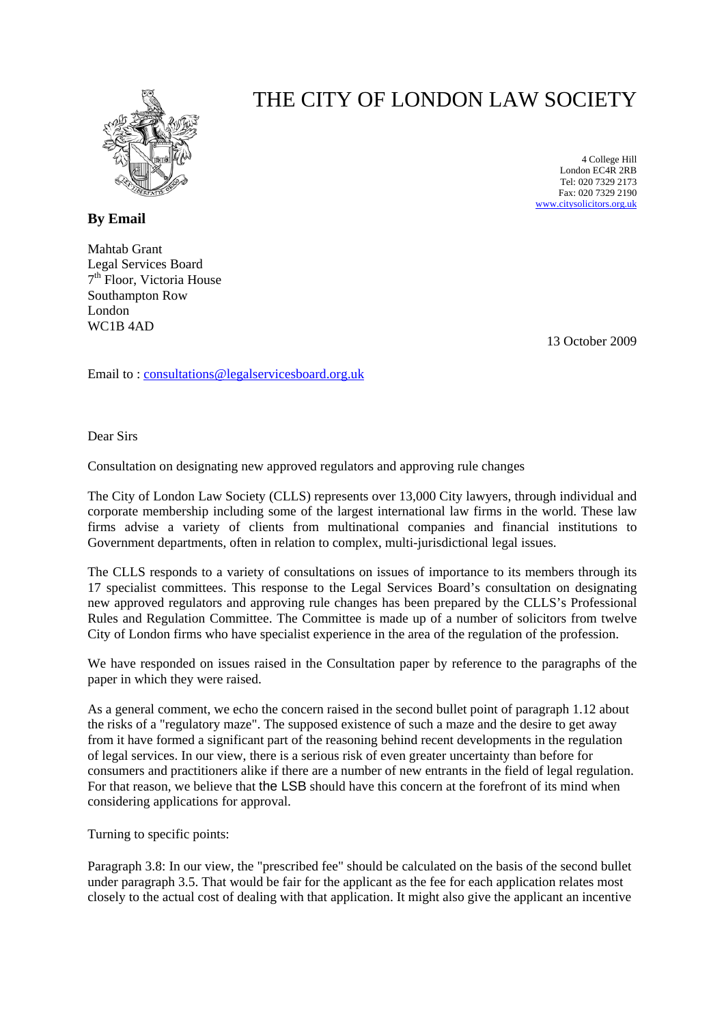

## THE CITY OF LONDON LAW SOCIETY

4 College Hill London EC4R 2RB Tel: 020 7329 2173 Fax: 020 7329 2190 [www.citysolicitors.org.uk](http://www.citysolicitors.org.uk/)

**By Email**

Mahtab Grant Legal Services Board 7<sup>th</sup> Floor, Victoria House Southampton Row London WC1B 4AD

13 October 2009

Email to : [consultations@legalservicesboard.org.uk](mailto:consultations@legalservicesboard.org.uk)

Dear Sirs

Consultation on designating new approved regulators and approving rule changes

The City of London Law Society (CLLS) represents over 13,000 City lawyers, through individual and corporate membership including some of the largest international law firms in the world. These law firms advise a variety of clients from multinational companies and financial institutions to Government departments, often in relation to complex, multi-jurisdictional legal issues.

The CLLS responds to a variety of consultations on issues of importance to its members through its 17 specialist committees. This response to the Legal Services Board's consultation on designating new approved regulators and approving rule changes has been prepared by the CLLS's Professional Rules and Regulation Committee. The Committee is made up of a number of solicitors from twelve City of London firms who have specialist experience in the area of the regulation of the profession.

We have responded on issues raised in the Consultation paper by reference to the paragraphs of the paper in which they were raised.

As a general comment, we echo the concern raised in the second bullet point of paragraph 1.12 about the risks of a "regulatory maze". The supposed existence of such a maze and the desire to get away from it have formed a significant part of the reasoning behind recent developments in the regulation of legal services. In our view, there is a serious risk of even greater uncertainty than before for consumers and practitioners alike if there are a number of new entrants in the field of legal regulation. For that reason, we believe that the LSB should have this concern at the forefront of its mind when considering applications for approval.

Turning to specific points:

Paragraph 3.8: In our view, the "prescribed fee" should be calculated on the basis of the second bullet under paragraph 3.5. That would be fair for the applicant as the fee for each application relates most closely to the actual cost of dealing with that application. It might also give the applicant an incentive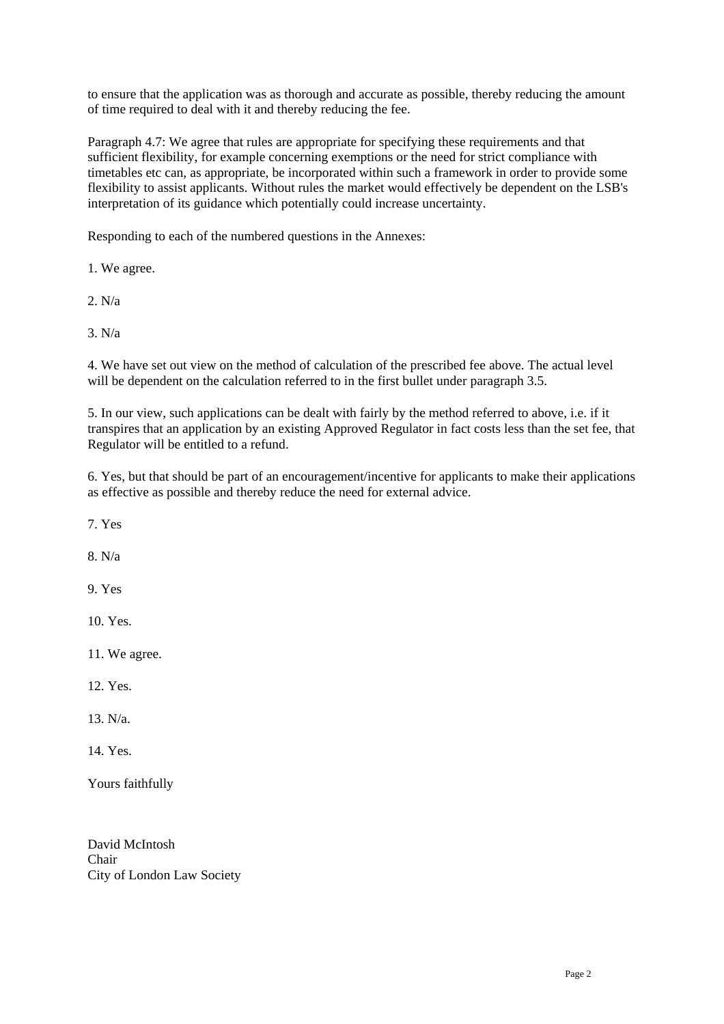to ensure that the application was as thorough and accurate as possible, thereby reducing the amount of time required to deal with it and thereby reducing the fee.

Paragraph 4.7: We agree that rules are appropriate for specifying these requirements and that sufficient flexibility, for example concerning exemptions or the need for strict compliance with timetables etc can, as appropriate, be incorporated within such a framework in order to provide some flexibility to assist applicants. Without rules the market would effectively be dependent on the LSB's interpretation of its guidance which potentially could increase uncertainty.

Responding to each of the numbered questions in the Annexes:

1. We agree.

2. N/a

3. N/a

4. We have set out view on the method of calculation of the prescribed fee above. The actual level will be dependent on the calculation referred to in the first bullet under paragraph 3.5.

5. In our view, such applications can be dealt with fairly by the method referred to above, i.e. if it transpires that an application by an existing Approved Regulator in fact costs less than the set fee, that Regulator will be entitled to a refund.

6. Yes, but that should be part of an encouragement/incentive for applicants to make their applications as effective as possible and thereby reduce the need for external advice.

7. Yes

8. N/a

9. Yes

10. Yes.

11. We agree.

12. Yes.

13. N/a.

14. Yes.

Yours faithfully

David McIntosh Chair City of London Law Society